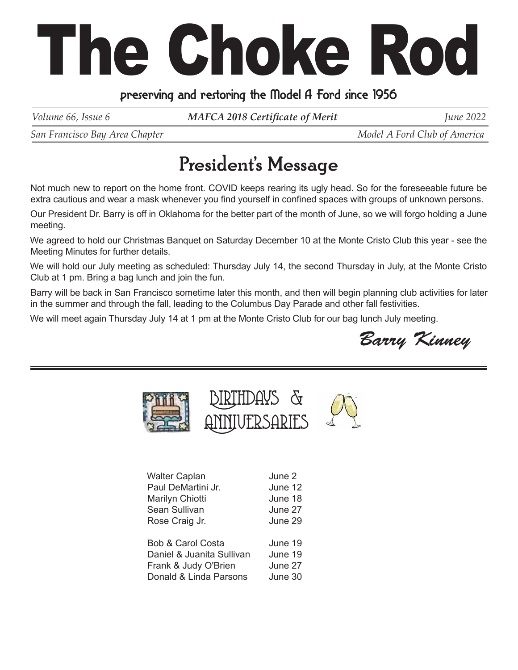## The Choke Rod

## preserving and restoring the Model A Ford since 1956

*Volume 66, Issue 6 MAFCA 2018 Certificate of Merit June 2022* 

*San Francisco Bay Area Chapter*  $\blacksquare$   $\blacksquare$   $\blacksquare$   $\blacksquare$   $\blacksquare$   $\blacksquare$   $\blacksquare$   $\blacksquare$   $\blacksquare$   $\blacksquare$   $\blacksquare$   $\blacksquare$   $\blacksquare$   $\blacksquare$   $\blacksquare$   $\blacksquare$   $\blacksquare$   $\blacksquare$   $\blacksquare$   $\blacksquare$   $\blacksquare$   $\blacksquare$   $\blacksquare$   $\blacksquare$   $\blacksquare$   $\blacksquare$   $\blacksquare$ 

## President's Message

Not much new to report on the home front. COVID keeps rearing its ugly head. So for the foreseeable future be extra cautious and wear a mask whenever you find yourself in confined spaces with groups of unknown persons.

Our President Dr. Barry is off in Oklahoma for the better part of the month of June, so we will forgo holding a June meeting.

We agreed to hold our Christmas Banquet on Saturday December 10 at the Monte Cristo Club this year - see the Meeting Minutes for further details.

We will hold our July meeting as scheduled: Thursday July 14, the second Thursday in July, at the Monte Cristo Club at 1 pm. Bring a bag lunch and join the fun.

Barry will be back in San Francisco sometime later this month, and then will begin planning club activities for later in the summer and through the fall, leading to the Columbus Day Parade and other fall festivities.

We will meet again Thursday July 14 at 1 pm at the Monte Cristo Club for our bag lunch July meeting.

Barry Kinney



| <b>Walter Caplan</b>         | June 2  |
|------------------------------|---------|
| Paul DeMartini Jr.           | June 12 |
| Marilyn Chiotti              | June 18 |
| Sean Sullivan                | June 27 |
| Rose Craig Jr.               | June 29 |
|                              |         |
| <b>Bob &amp; Carol Costa</b> | June 19 |
| Daniel & Juanita Sullivan    | June 19 |
| Frank & Judy O'Brien         | June 27 |
| Donald & Linda Parsons       | June 30 |